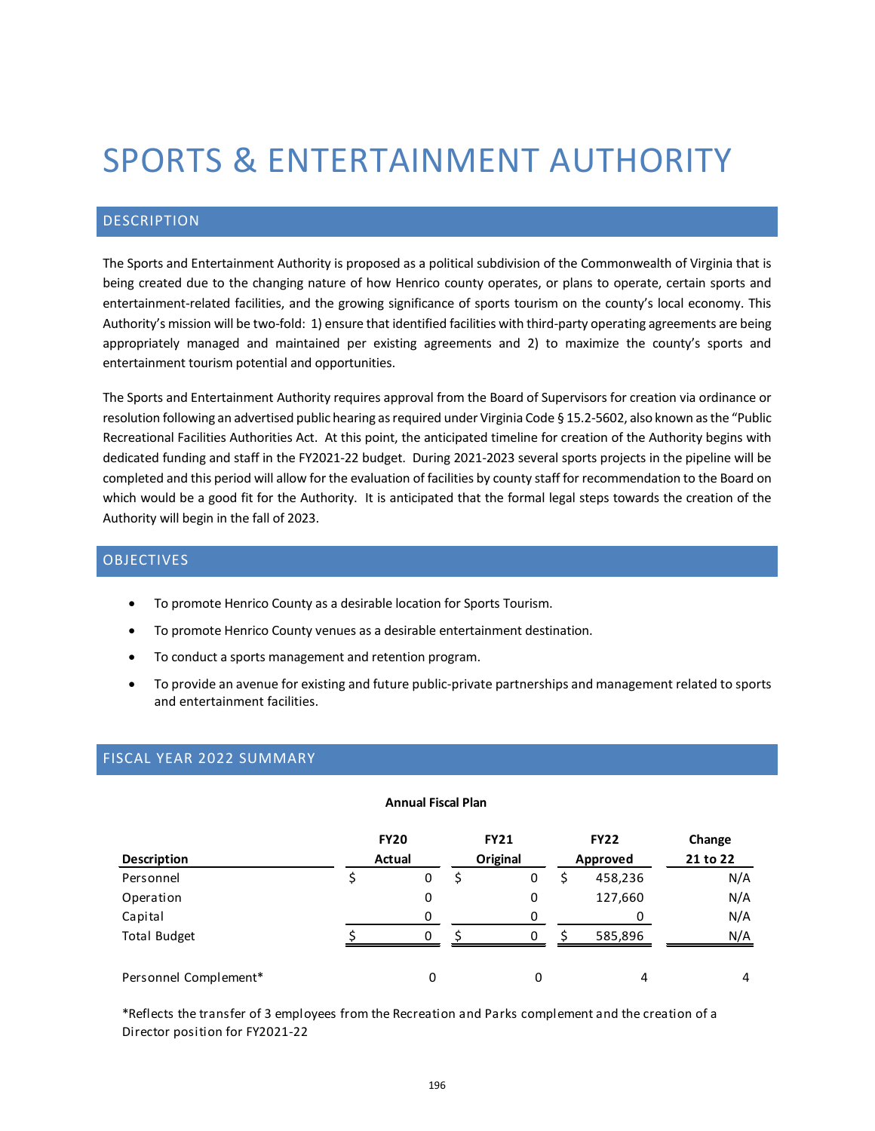# SPORTS & ENTERTAINMENT AUTHORITY

## DESCRIPTION

The Sports and Entertainment Authority is proposed as a political subdivision of the Commonwealth of Virginia that is being created due to the changing nature of how Henrico county operates, or plans to operate, certain sports and entertainment-related facilities, and the growing significance of sports tourism on the county's local economy. This Authority's mission will be two-fold: 1) ensure that identified facilities with third-party operating agreements are being appropriately managed and maintained per existing agreements and 2) to maximize the county's sports and entertainment tourism potential and opportunities.

The Sports and Entertainment Authority requires approval from the Board of Supervisors for creation via ordinance or resolution following an advertised public hearing as required under Virginia Code § 15.2-5602, also known as the "Public Recreational Facilities Authorities Act. At this point, the anticipated timeline for creation of the Authority begins with dedicated funding and staff in the FY2021-22 budget. During 2021-2023 several sports projects in the pipeline will be completed and this period will allow for the evaluation of facilities by county staff for recommendation to the Board on which would be a good fit for the Authority. It is anticipated that the formal legal steps towards the creation of the Authority will begin in the fall of 2023.

## OBJECTIVES

- To promote Henrico County as a desirable location for Sports Tourism.
- To promote Henrico County venues as a desirable entertainment destination.
- To conduct a sports management and retention program.
- To provide an avenue for existing and future public-private partnerships and management related to sports and entertainment facilities.

# FISCAL YEAR 2022 SUMMARY

#### **Annual Fiscal Plan**

| <b>Description</b>    | <b>FY20</b><br>Actual |   | <b>FY21</b><br>Original |   | <b>FY22</b><br>Approved |         | Change<br>21 to 22 |
|-----------------------|-----------------------|---|-------------------------|---|-------------------------|---------|--------------------|
| Personnel             |                       | 0 |                         | 0 |                         | 458,236 | N/A                |
| Operation             |                       | 0 |                         | 0 |                         | 127,660 | N/A                |
| Capital               |                       | 0 |                         | 0 |                         |         | N/A                |
| <b>Total Budget</b>   |                       | O |                         | 0 |                         | 585,896 | N/A                |
| Personnel Complement* |                       | 0 |                         | 0 |                         | 4       | 4                  |

\*Reflects the transfer of 3 employees from the Recreation and Parks complement and the creation of a Director position for FY2021-22